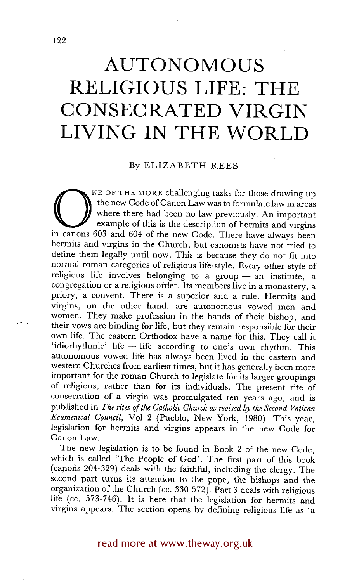## **LIVING IN THE WORLD AUTONOMOUS RELIGIOUS LIFE: THE CONSECRATED VIRGIN**

## By ELIZABETH REES

NE OF THE MORE challenging tasks for those drawing up the new Code of Canon Law was to formulate law in areas where there had been no law previously. An important example of this is the description of hermits and virgins i the new Code of Canon Law was to formulate law in areas where there had been no law previously. An important example of this is the description of hermits and virgins hermits and virgins in the Church, but canonists have not tried to define them legally until now. This is because they do not fit into normal roman categories of religious life-style. Every other style of religious life involves belonging to a group  $-$  an institute, a congregation or a religious order. Its members live in a monastery, a priory, a convent. There is a superior and a rule. Hermits and virgins, on the other hand, are autonomous vowed men and women. They make profession in the hands of their bishop, and their vows are binding for life, but they remain responsible for their own life. The eastern Orthodox have a name for this. They call it 'idiorhythmic' life - life according to one's own rhythm. This autonomous vowed life has always been lived in the eastern and western Churches from earliest times, but it has generally been more important for the roman Church to legislate for its larger groupings of religious, rather than for its individuals. The present rite of consecration of a virgin was promulgated ten years ago, and is published in *The rites of the Catholic Church as revised by the Second Vatican Ecumenical Council,* Vol 2 (Pueblo, New York, 1980). This year, legislation for hermits and virgins appears in the new Code for Canon Law.

The new legislation is to be found in Book 2 of the new Code, which is called 'The People of God'. The first part of this book (canons 204-329) deals with the faithful, including the clergy. The second part turns its attention to the pope, the bishops and the organization of the Church (cc. 330-572). Part 3 deals with religious life (cc. 573-746). It is here that the legislation for hermits and virgins appears. The section opens by defining religious life as 'a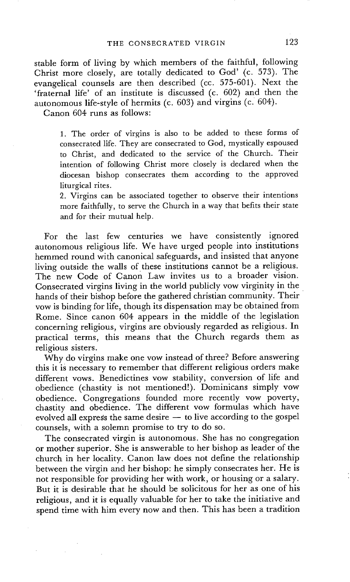stable form of living by which members of the faithful, following Christ more closely, are totally dedicated to God' (c. 573). The evangelical counsels are then described (cc. 575-601). Next the 'fraternal life' of an institute is discussed (c. 602) and then the autonomous life-style of hermits (c. 603) and virgins (c. 604).

Canon 604 runs as follows:

1. The order of virgins is also to be added to these forms of consecrated life. They are consecrated to God, mystically espoused to Christ, and dedicated to the service of the Church. Their intention of following Christ more closely is declared when the diocesan bishop consecrates them according to the approved liturgical rites.

2. Virgins can be associated together to observe their intentions more faithfully, to serve the Church in a way that befits their state and for their mutual help.

For the last few centuries we have consistently ignored autonomous religious life. We have urged people into institutions hemmed round with canonical safeguards, and insisted that anyone living outside the walls of these institutions cannot be a religious. The new Code of Canon Law invites us to a broader vision. Consecrated virgins living in the world publicly vow virginity in the hands of their bishop before the gathered christian community. Their vow is binding for life, though its dispensation may be obtained from Rome. Since canon 604 appears in the middle of the legislation concerning religious, virgins are obviously regarded as religious. In practical terms, this means that the Church regards them as religious sisters.

Why do virgins make one vow instead of three? Before answering this it is necessary to remember that different religious orders make different vows. Benedictines vow stability, conversion of life and obedience (chastity is not mentioned!). Dominicans simply vow obedience. Congregations founded more recently vow poverty, chastity and obedience. The different vow formulas which have evolved all express the same desire  $-$  to live according to the gospel counsels, with a solemn promise to try to do so.

The consecrated virgin is autonomous. She has no congregation or mother superior. She is answerable to her bishop as leader of the church in her locality. Canon law does not define the relationship between the virgin and her bishop: he simply consecrates her. He is not responsible for providing her with work, or housing or a salary. But it is desirable that he should be solicitous for her as one of his religious, and it is equally valuable for her to take the initiative and spend time with him every now and then. This has been a tradition